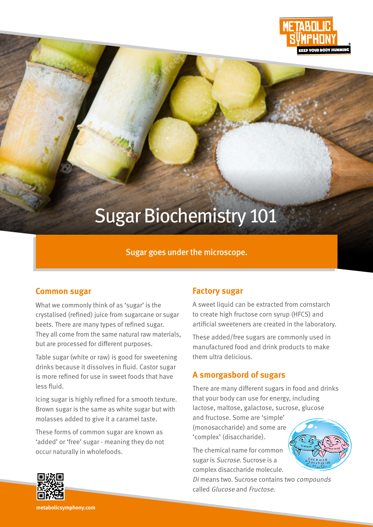

# Sugar Biochemistry 101

## Sugar goes under the microscope.

#### **Common sugar**

What we commonly think of as 'sugar' is the crystalised (refined) juice from sugarcane or sugar beets. There are many types of refined sugar. They all come from the same natural raw materials, but are processed for different purposes.

Table sugar (white or raw) is good for sweetening drinks because it dissolves in fluid. Castor sugar is more refined for use in sweet foods that have less fluid.

Icing sugar is highly refined for a smooth texture. Brown sugar is the same as white sugar but with molasses added to give it a caramel taste.

These forms of common sugar are known as 'added' or 'free' sugar - meaning they do not occur naturally in wholefoods.

## **Factory sugar**

A sweet liquid can be extracted from cornstarch to create high fructose corn syrup (HFCS) and artificial sweeteners are created in the laboratory.

These added/free sugars are commonly used in manufactured food and drink products to make them ultra delicious.

## **A smorgasbord of sugars**

There are many different sugars in food and drinks that your body can use for energy, including lactose, maltose, galactose, sucrose, glucose

and fructose. Some are 'simple' (monosaccharide) and some are 'complex' (disaccharide).

The chemical name for common sugar is Sucrose. Sucrose is a complex disaccharide molecule.

Di means two. Sucrose contains two compounds called Glucose and Fructose.